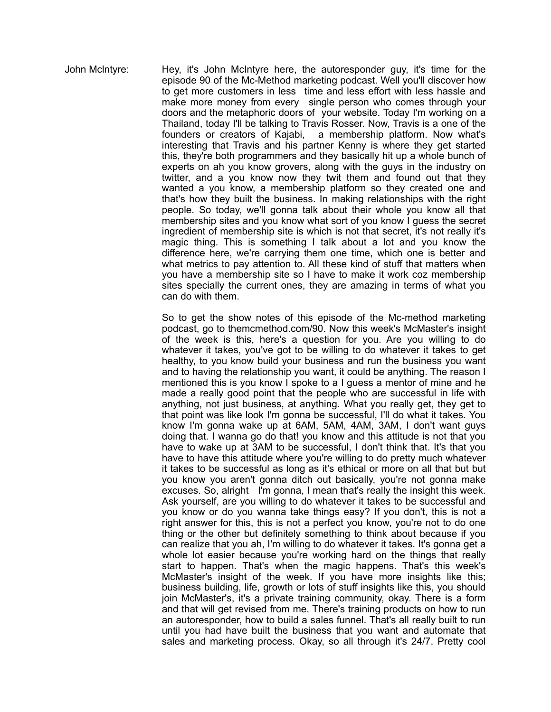John Mclntyre: Hey, it's John McIntyre here, the autoresponder guy, it's time for the episode 90 of the Mc-Method marketing podcast. Well you'll discover how to get more customers in less time and less effort with less hassle and make more money from every single person who comes through your doors and the metaphoric doors of your website. Today I'm working on a Thailand, today I'll be talking to Travis Rosser. Now, Travis is a one of the a membership platform. Now what's interesting that Travis and his partner Kenny is where they get started this, they're both programmers and they basically hit up a whole bunch of experts on ah you know grovers, along with the guys in the industry on twitter, and a you know now they twit them and found out that they wanted a you know, a membership platform so they created one and that's how they built the business. In making relationships with the right people. So today, we'll gonna talk about their whole you know all that membership sites and you know what sort of you know I guess the secret ingredient of membership site is which is not that secret, it's not really it's magic thing. This is something I talk about a lot and you know the difference here, we're carrying them one time, which one is better and what metrics to pay attention to. All these kind of stuff that matters when you have a membership site so I have to make it work coz membership sites specially the current ones, they are amazing in terms of what you can do with them.

> So to get the show notes of this episode of the Mc-method marketing podcast, go to themcmethod.com/90. Now this week's McMaster's insight of the week is this, here's a question for you. Are you willing to do whatever it takes, you've got to be willing to do whatever it takes to get healthy, to you know build your business and run the business you want and to having the relationship you want, it could be anything. The reason I mentioned this is you know I spoke to a I guess a mentor of mine and he made a really good point that the people who are successful in life with anything, not just business, at anything. What you really get, they get to that point was like look I'm gonna be successful, I'll do what it takes. You know I'm gonna wake up at 6AM, 5AM, 4AM, 3AM, I don't want guys doing that. I wanna go do that! you know and this attitude is not that you have to wake up at 3AM to be successful, I don't think that. It's that you have to have this attitude where you're willing to do pretty much whatever it takes to be successful as long as it's ethical or more on all that but but you know you aren't gonna ditch out basically, you're not gonna make excuses. So, alright I'm gonna, I mean that's really the insight this week. Ask yourself, are you willing to do whatever it takes to be successful and you know or do you wanna take things easy? If you don't, this is not a right answer for this, this is not a perfect you know, you're not to do one thing or the other but definitely something to think about because if you can realize that you ah, I'm willing to do whatever it takes. It's gonna get a whole lot easier because you're working hard on the things that really start to happen. That's when the magic happens. That's this week's McMaster's insight of the week. If you have more insights like this; business building, life, growth or lots of stuff insights like this, you should join McMaster's, it's a private training community, okay. There is a form and that will get revised from me. There's training products on how to run an autoresponder, how to build a sales funnel. That's all really built to run until you had have built the business that you want and automate that sales and marketing process. Okay, so all through it's 24/7. Pretty cool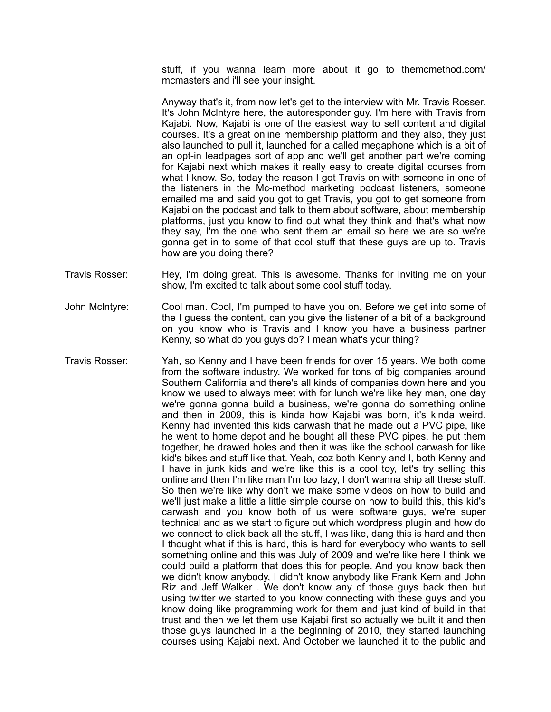stuff, if you wanna learn more about it go to themcmethod.com/ mcmasters and i'll see your insight.

Anyway that's it, from now let's get to the interview with Mr. Travis Rosser. It's John Mclntyre here, the autoresponder guy. I'm here with Travis from Kajabi. Now, Kajabi is one of the easiest way to sell content and digital courses. It's a great online membership platform and they also, they just also launched to pull it, launched for a called megaphone which is a bit of an opt-in leadpages sort of app and we'll get another part we're coming for Kajabi next which makes it really easy to create digital courses from what I know. So, today the reason I got Travis on with someone in one of the listeners in the Mc-method marketing podcast listeners, someone emailed me and said you got to get Travis, you got to get someone from Kajabi on the podcast and talk to them about software, about membership platforms, just you know to find out what they think and that's what now they say, I'm the one who sent them an email so here we are so we're gonna get in to some of that cool stuff that these guys are up to. Travis how are you doing there?

- Travis Rosser: Hey, I'm doing great. This is awesome. Thanks for inviting me on your show, I'm excited to talk about some cool stuff today.
- John Mclntyre: Cool man. Cool, I'm pumped to have you on. Before we get into some of the I guess the content, can you give the listener of a bit of a background on you know who is Travis and I know you have a business partner Kenny, so what do you guys do? I mean what's your thing?
- Travis Rosser: Yah, so Kenny and I have been friends for over 15 years. We both come from the software industry. We worked for tons of big companies around Southern California and there's all kinds of companies down here and you know we used to always meet with for lunch we're like hey man, one day we're gonna gonna build a business, we're gonna do something online and then in 2009, this is kinda how Kajabi was born, it's kinda weird. Kenny had invented this kids carwash that he made out a PVC pipe, like he went to home depot and he bought all these PVC pipes, he put them together, he drawed holes and then it was like the school carwash for like kid's bikes and stuff like that. Yeah, coz both Kenny and I, both Kenny and I have in junk kids and we're like this is a cool toy, let's try selling this online and then I'm like man I'm too lazy, I don't wanna ship all these stuff. So then we're like why don't we make some videos on how to build and we'll just make a little a little simple course on how to build this, this kid's carwash and you know both of us were software guys, we're super technical and as we start to figure out which wordpress plugin and how do we connect to click back all the stuff, I was like, dang this is hard and then I thought what if this is hard, this is hard for everybody who wants to sell something online and this was July of 2009 and we're like here I think we could build a platform that does this for people. And you know back then we didn't know anybody, I didn't know anybody like Frank Kern and John Riz and Jeff Walker . We don't know any of those guys back then but using twitter we started to you know connecting with these guys and you know doing like programming work for them and just kind of build in that trust and then we let them use Kajabi first so actually we built it and then those guys launched in a the beginning of 2010, they started launching courses using Kajabi next. And October we launched it to the public and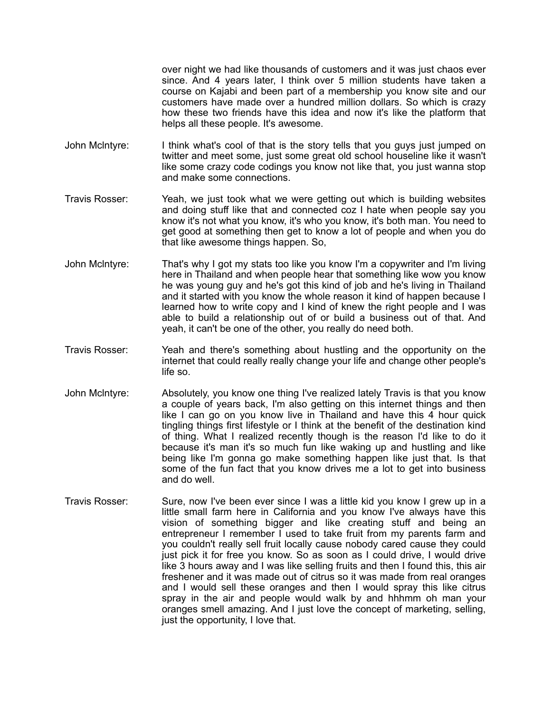over night we had like thousands of customers and it was just chaos ever since. And 4 years later, I think over 5 million students have taken a course on Kajabi and been part of a membership you know site and our customers have made over a hundred million dollars. So which is crazy how these two friends have this idea and now it's like the platform that helps all these people. It's awesome.

- John Mclntyre: I think what's cool of that is the story tells that you guys just jumped on twitter and meet some, just some great old school houseline like it wasn't like some crazy code codings you know not like that, you just wanna stop and make some connections.
- Travis Rosser: Yeah, we just took what we were getting out which is building websites and doing stuff like that and connected coz I hate when people say you know it's not what you know, it's who you know, it's both man. You need to get good at something then get to know a lot of people and when you do that like awesome things happen. So,
- John Mclntyre: That's why I got my stats too like you know I'm a copywriter and I'm living here in Thailand and when people hear that something like wow you know he was young guy and he's got this kind of job and he's living in Thailand and it started with you know the whole reason it kind of happen because I learned how to write copy and I kind of knew the right people and I was able to build a relationship out of or build a business out of that. And yeah, it can't be one of the other, you really do need both.
- Travis Rosser: Yeah and there's something about hustling and the opportunity on the internet that could really really change your life and change other people's life so.
- John Mclntyre: Absolutely, you know one thing I've realized lately Travis is that you know a couple of years back, I'm also getting on this internet things and then like I can go on you know live in Thailand and have this 4 hour quick tingling things first lifestyle or I think at the benefit of the destination kind of thing. What I realized recently though is the reason I'd like to do it because it's man it's so much fun like waking up and hustling and like being like I'm gonna go make something happen like just that. Is that some of the fun fact that you know drives me a lot to get into business and do well.
- Travis Rosser: Sure, now I've been ever since I was a little kid you know I grew up in a little small farm here in California and you know I've always have this vision of something bigger and like creating stuff and being an entrepreneur I remember I used to take fruit from my parents farm and you couldn't really sell fruit locally cause nobody cared cause they could just pick it for free you know. So as soon as I could drive, I would drive like 3 hours away and I was like selling fruits and then I found this, this air freshener and it was made out of citrus so it was made from real oranges and I would sell these oranges and then I would spray this like citrus spray in the air and people would walk by and hhhmm oh man your oranges smell amazing. And I just love the concept of marketing, selling, just the opportunity, I love that.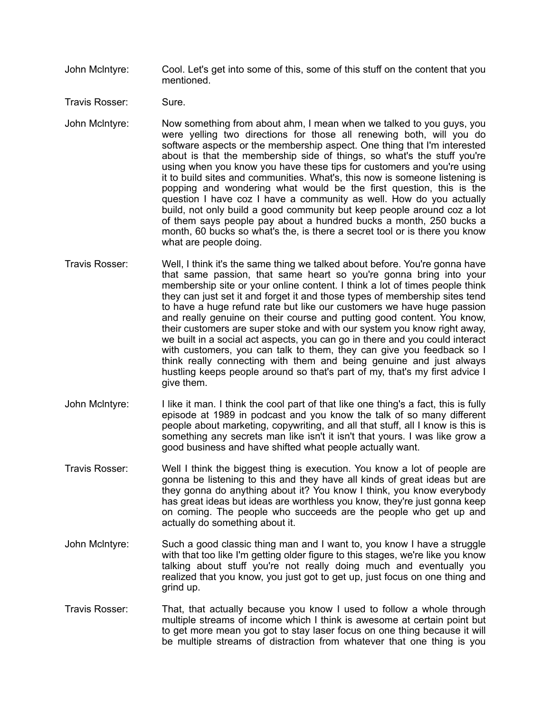- John Mclntyre: Cool. Let's get into some of this, some of this stuff on the content that you mentioned.
- Travis Rosser: Sure.
- John Mclntyre: Now something from about ahm, I mean when we talked to you guys, you were yelling two directions for those all renewing both, will you do software aspects or the membership aspect. One thing that I'm interested about is that the membership side of things, so what's the stuff you're using when you know you have these tips for customers and you're using it to build sites and communities. What's, this now is someone listening is popping and wondering what would be the first question, this is the question I have coz I have a community as well. How do you actually build, not only build a good community but keep people around coz a lot of them says people pay about a hundred bucks a month, 250 bucks a month, 60 bucks so what's the, is there a secret tool or is there you know what are people doing.
- Travis Rosser: Well, I think it's the same thing we talked about before. You're gonna have that same passion, that same heart so you're gonna bring into your membership site or your online content. I think a lot of times people think they can just set it and forget it and those types of membership sites tend to have a huge refund rate but like our customers we have huge passion and really genuine on their course and putting good content. You know, their customers are super stoke and with our system you know right away, we built in a social act aspects, you can go in there and you could interact with customers, you can talk to them, they can give you feedback so I think really connecting with them and being genuine and just always hustling keeps people around so that's part of my, that's my first advice I give them.
- John Mclntyre: I like it man. I think the cool part of that like one thing's a fact, this is fully episode at 1989 in podcast and you know the talk of so many different people about marketing, copywriting, and all that stuff, all I know is this is something any secrets man like isn't it isn't that yours. I was like grow a good business and have shifted what people actually want.
- Travis Rosser: Well I think the biggest thing is execution. You know a lot of people are gonna be listening to this and they have all kinds of great ideas but are they gonna do anything about it? You know I think, you know everybody has great ideas but ideas are worthless you know, they're just gonna keep on coming. The people who succeeds are the people who get up and actually do something about it.
- John Mclntyre: Such a good classic thing man and I want to, you know I have a struggle with that too like I'm getting older figure to this stages, we're like you know talking about stuff you're not really doing much and eventually you realized that you know, you just got to get up, just focus on one thing and grind up.
- Travis Rosser: That, that actually because you know I used to follow a whole through multiple streams of income which I think is awesome at certain point but to get more mean you got to stay laser focus on one thing because it will be multiple streams of distraction from whatever that one thing is you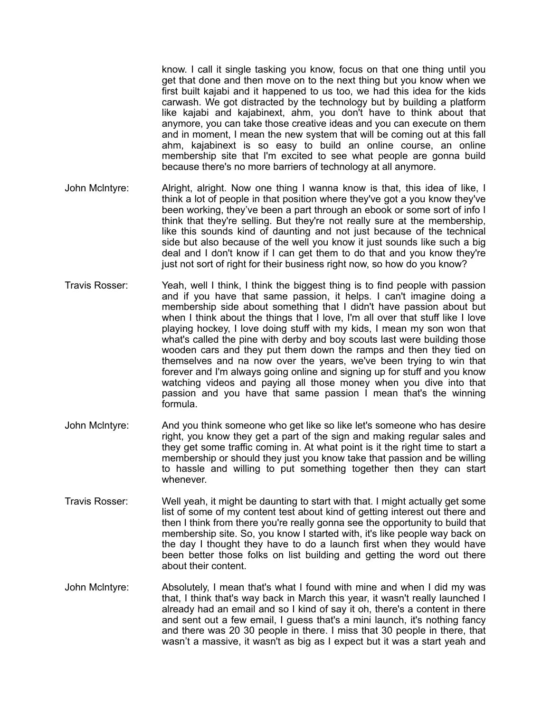know. I call it single tasking you know, focus on that one thing until you get that done and then move on to the next thing but you know when we first built kajabi and it happened to us too, we had this idea for the kids carwash. We got distracted by the technology but by building a platform like kajabi and kajabinext, ahm, you don't have to think about that anymore, you can take those creative ideas and you can execute on them and in moment, I mean the new system that will be coming out at this fall ahm, kajabinext is so easy to build an online course, an online membership site that I'm excited to see what people are gonna build because there's no more barriers of technology at all anymore.

- John Mclntyre: Alright, alright. Now one thing I wanna know is that, this idea of like, I think a lot of people in that position where they've got a you know they've been working, they've been a part through an ebook or some sort of info I think that they're selling. But they're not really sure at the membership, like this sounds kind of daunting and not just because of the technical side but also because of the well you know it just sounds like such a big deal and I don't know if I can get them to do that and you know they're just not sort of right for their business right now, so how do you know?
- Travis Rosser: Yeah, well I think, I think the biggest thing is to find people with passion and if you have that same passion, it helps. I can't imagine doing a membership side about something that I didn't have passion about but when I think about the things that I love. I'm all over that stuff like I love playing hockey, I love doing stuff with my kids, I mean my son won that what's called the pine with derby and boy scouts last were building those wooden cars and they put them down the ramps and then they tied on themselves and na now over the years, we've been trying to win that forever and I'm always going online and signing up for stuff and you know watching videos and paying all those money when you dive into that passion and you have that same passion I mean that's the winning formula.
- John Mclntyre: And you think someone who get like so like let's someone who has desire right, you know they get a part of the sign and making regular sales and they get some traffic coming in. At what point is it the right time to start a membership or should they just you know take that passion and be willing to hassle and willing to put something together then they can start whenever.
- Travis Rosser: Well yeah, it might be daunting to start with that. I might actually get some list of some of my content test about kind of getting interest out there and then I think from there you're really gonna see the opportunity to build that membership site. So, you know I started with, it's like people way back on the day I thought they have to do a launch first when they would have been better those folks on list building and getting the word out there about their content.
- John Mclntyre: Absolutely, I mean that's what I found with mine and when I did my was that, I think that's way back in March this year, it wasn't really launched I already had an email and so I kind of say it oh, there's a content in there and sent out a few email, I guess that's a mini launch, it's nothing fancy and there was 20 30 people in there. I miss that 30 people in there, that wasn't a massive, it wasn't as big as I expect but it was a start yeah and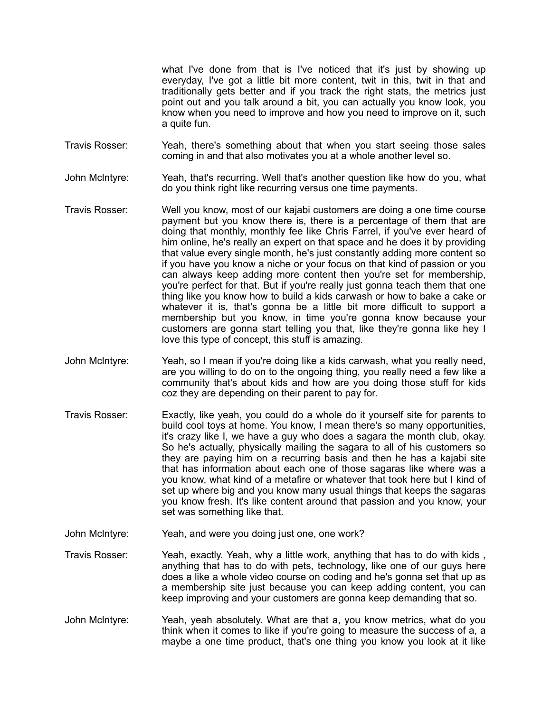what I've done from that is I've noticed that it's just by showing up everyday, I've got a little bit more content, twit in this, twit in that and traditionally gets better and if you track the right stats, the metrics just point out and you talk around a bit, you can actually you know look, you know when you need to improve and how you need to improve on it, such a quite fun.

- Travis Rosser: Yeah, there's something about that when you start seeing those sales coming in and that also motivates you at a whole another level so.
- John Mclntyre: Yeah, that's recurring. Well that's another question like how do you, what do you think right like recurring versus one time payments.
- Travis Rosser: Well you know, most of our kajabi customers are doing a one time course payment but you know there is, there is a percentage of them that are doing that monthly, monthly fee like Chris Farrel, if you've ever heard of him online, he's really an expert on that space and he does it by providing that value every single month, he's just constantly adding more content so if you have you know a niche or your focus on that kind of passion or you can always keep adding more content then you're set for membership, you're perfect for that. But if you're really just gonna teach them that one thing like you know how to build a kids carwash or how to bake a cake or whatever it is, that's gonna be a little bit more difficult to support a membership but you know, in time you're gonna know because your customers are gonna start telling you that, like they're gonna like hey I love this type of concept, this stuff is amazing.
- John Mclntyre: Yeah, so I mean if you're doing like a kids carwash, what you really need, are you willing to do on to the ongoing thing, you really need a few like a community that's about kids and how are you doing those stuff for kids coz they are depending on their parent to pay for.
- Travis Rosser: Exactly, like yeah, you could do a whole do it yourself site for parents to build cool toys at home. You know, I mean there's so many opportunities, it's crazy like I, we have a guy who does a sagara the month club, okay. So he's actually, physically mailing the sagara to all of his customers so they are paying him on a recurring basis and then he has a kajabi site that has information about each one of those sagaras like where was a you know, what kind of a metafire or whatever that took here but I kind of set up where big and you know many usual things that keeps the sagaras you know fresh. It's like content around that passion and you know, your set was something like that.
- John Mclntyre: Yeah, and were you doing just one, one work?
- Travis Rosser: Yeah, exactly. Yeah, why a little work, anything that has to do with kids , anything that has to do with pets, technology, like one of our guys here does a like a whole video course on coding and he's gonna set that up as a membership site just because you can keep adding content, you can keep improving and your customers are gonna keep demanding that so.
- John Mclntyre: Yeah, yeah absolutely. What are that a, you know metrics, what do you think when it comes to like if you're going to measure the success of a, a maybe a one time product, that's one thing you know you look at it like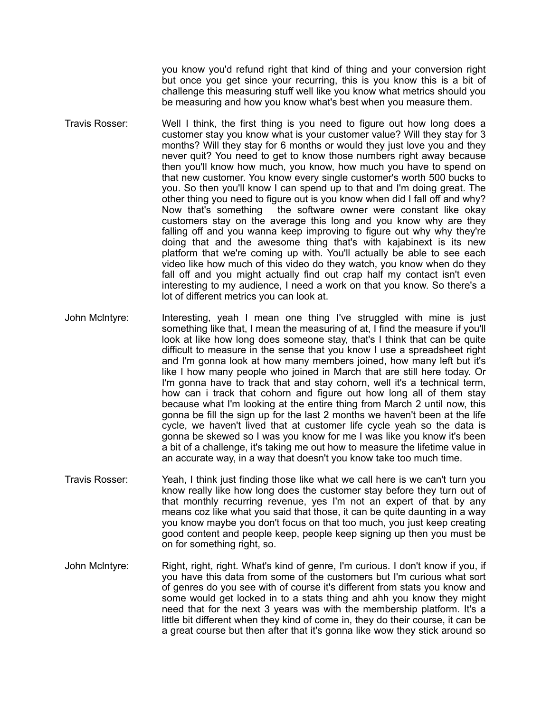you know you'd refund right that kind of thing and your conversion right but once you get since your recurring, this is you know this is a bit of challenge this measuring stuff well like you know what metrics should you be measuring and how you know what's best when you measure them.

- Travis Rosser: Well I think, the first thing is you need to figure out how long does a customer stay you know what is your customer value? Will they stay for 3 months? Will they stay for 6 months or would they just love you and they never quit? You need to get to know those numbers right away because then you'll know how much, you know, how much you have to spend on that new customer. You know every single customer's worth 500 bucks to you. So then you'll know I can spend up to that and I'm doing great. The other thing you need to figure out is you know when did I fall off and why? Now that's something the software owner were constant like okay customers stay on the average this long and you know why are they falling off and you wanna keep improving to figure out why why they're doing that and the awesome thing that's with kajabinext is its new platform that we're coming up with. You'll actually be able to see each video like how much of this video do they watch, you know when do they fall off and you might actually find out crap half my contact isn't even interesting to my audience, I need a work on that you know. So there's a lot of different metrics you can look at.
- John Mclntyre: Interesting, yeah I mean one thing I've struggled with mine is just something like that, I mean the measuring of at, I find the measure if you'll look at like how long does someone stay, that's I think that can be quite difficult to measure in the sense that you know I use a spreadsheet right and I'm gonna look at how many members joined, how many left but it's like I how many people who joined in March that are still here today. Or I'm gonna have to track that and stay cohorn, well it's a technical term, how can i track that cohorn and figure out how long all of them stay because what I'm looking at the entire thing from March 2 until now, this gonna be fill the sign up for the last 2 months we haven't been at the life cycle, we haven't lived that at customer life cycle yeah so the data is gonna be skewed so I was you know for me I was like you know it's been a bit of a challenge, it's taking me out how to measure the lifetime value in an accurate way, in a way that doesn't you know take too much time.
- Travis Rosser: Yeah, I think just finding those like what we call here is we can't turn you know really like how long does the customer stay before they turn out of that monthly recurring revenue, yes I'm not an expert of that by any means coz like what you said that those, it can be quite daunting in a way you know maybe you don't focus on that too much, you just keep creating good content and people keep, people keep signing up then you must be on for something right, so.
- John Mclntyre: Right, right, right. What's kind of genre, I'm curious. I don't know if you, if you have this data from some of the customers but I'm curious what sort of genres do you see with of course it's different from stats you know and some would get locked in to a stats thing and ahh you know they might need that for the next 3 years was with the membership platform. It's a little bit different when they kind of come in, they do their course, it can be a great course but then after that it's gonna like wow they stick around so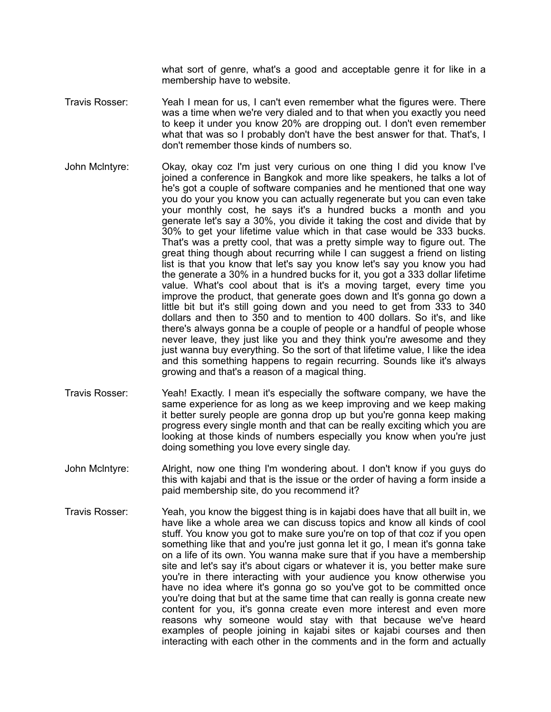what sort of genre, what's a good and acceptable genre it for like in a membership have to website.

- Travis Rosser: Yeah I mean for us, I can't even remember what the figures were. There was a time when we're very dialed and to that when you exactly you need to keep it under you know 20% are dropping out. I don't even remember what that was so I probably don't have the best answer for that. That's, I don't remember those kinds of numbers so.
- John Mclntyre: Okay, okay coz I'm just very curious on one thing I did you know I've joined a conference in Bangkok and more like speakers, he talks a lot of he's got a couple of software companies and he mentioned that one way you do your you know you can actually regenerate but you can even take your monthly cost, he says it's a hundred bucks a month and you generate let's say a 30%, you divide it taking the cost and divide that by 30% to get your lifetime value which in that case would be 333 bucks. That's was a pretty cool, that was a pretty simple way to figure out. The great thing though about recurring while I can suggest a friend on listing list is that you know that let's say you know let's say you know you had the generate a 30% in a hundred bucks for it, you got a 333 dollar lifetime value. What's cool about that is it's a moving target, every time you improve the product, that generate goes down and It's gonna go down a little bit but it's still going down and you need to get from 333 to 340 dollars and then to 350 and to mention to 400 dollars. So it's, and like there's always gonna be a couple of people or a handful of people whose never leave, they just like you and they think you're awesome and they just wanna buy everything. So the sort of that lifetime value, I like the idea and this something happens to regain recurring. Sounds like it's always growing and that's a reason of a magical thing.
- Travis Rosser: Yeah! Exactly. I mean it's especially the software company, we have the same experience for as long as we keep improving and we keep making it better surely people are gonna drop up but you're gonna keep making progress every single month and that can be really exciting which you are looking at those kinds of numbers especially you know when you're just doing something you love every single day.
- John Mclntyre: Alright, now one thing I'm wondering about. I don't know if you guys do this with kajabi and that is the issue or the order of having a form inside a paid membership site, do you recommend it?
- Travis Rosser: Yeah, you know the biggest thing is in kajabi does have that all built in, we have like a whole area we can discuss topics and know all kinds of cool stuff. You know you got to make sure you're on top of that coz if you open something like that and you're just gonna let it go, I mean it's gonna take on a life of its own. You wanna make sure that if you have a membership site and let's say it's about cigars or whatever it is, you better make sure you're in there interacting with your audience you know otherwise you have no idea where it's gonna go so you've got to be committed once you're doing that but at the same time that can really is gonna create new content for you, it's gonna create even more interest and even more reasons why someone would stay with that because we've heard examples of people joining in kajabi sites or kajabi courses and then interacting with each other in the comments and in the form and actually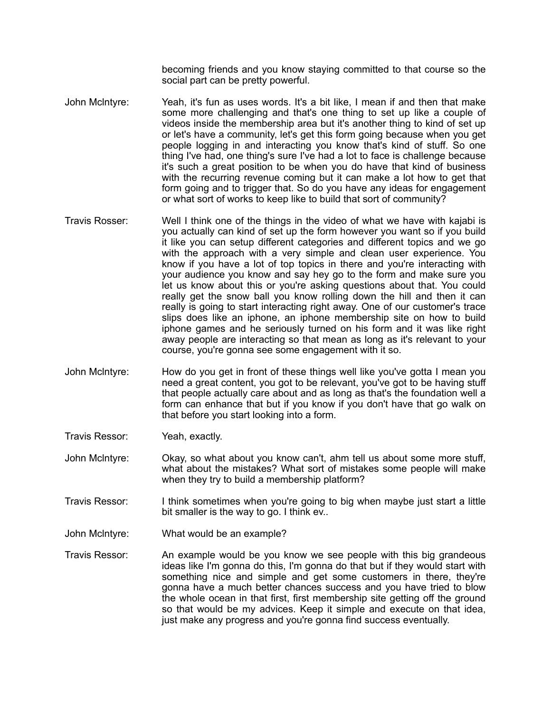becoming friends and you know staying committed to that course so the social part can be pretty powerful.

- John Mclntyre: Yeah, it's fun as uses words. It's a bit like, I mean if and then that make some more challenging and that's one thing to set up like a couple of videos inside the membership area but it's another thing to kind of set up or let's have a community, let's get this form going because when you get people logging in and interacting you know that's kind of stuff. So one thing I've had, one thing's sure I've had a lot to face is challenge because it's such a great position to be when you do have that kind of business with the recurring revenue coming but it can make a lot how to get that form going and to trigger that. So do you have any ideas for engagement or what sort of works to keep like to build that sort of community?
- Travis Rosser: Well I think one of the things in the video of what we have with kajabi is you actually can kind of set up the form however you want so if you build it like you can setup different categories and different topics and we go with the approach with a very simple and clean user experience. You know if you have a lot of top topics in there and you're interacting with your audience you know and say hey go to the form and make sure you let us know about this or you're asking questions about that. You could really get the snow ball you know rolling down the hill and then it can really is going to start interacting right away. One of our customer's trace slips does like an iphone, an iphone membership site on how to build iphone games and he seriously turned on his form and it was like right away people are interacting so that mean as long as it's relevant to your course, you're gonna see some engagement with it so.
- John Mclntyre: How do you get in front of these things well like you've gotta I mean you need a great content, you got to be relevant, you've got to be having stuff that people actually care about and as long as that's the foundation well a form can enhance that but if you know if you don't have that go walk on that before you start looking into a form.
- Travis Ressor: Yeah, exactly.
- John Mclntyre: Okay, so what about you know can't, ahm tell us about some more stuff, what about the mistakes? What sort of mistakes some people will make when they try to build a membership platform?
- Travis Ressor: I think sometimes when you're going to big when maybe just start a little bit smaller is the way to go. I think ev..
- John Mclntyre: What would be an example?
- Travis Ressor: An example would be you know we see people with this big grandeous ideas like I'm gonna do this, I'm gonna do that but if they would start with something nice and simple and get some customers in there, they're gonna have a much better chances success and you have tried to blow the whole ocean in that first, first membership site getting off the ground so that would be my advices. Keep it simple and execute on that idea, just make any progress and you're gonna find success eventually.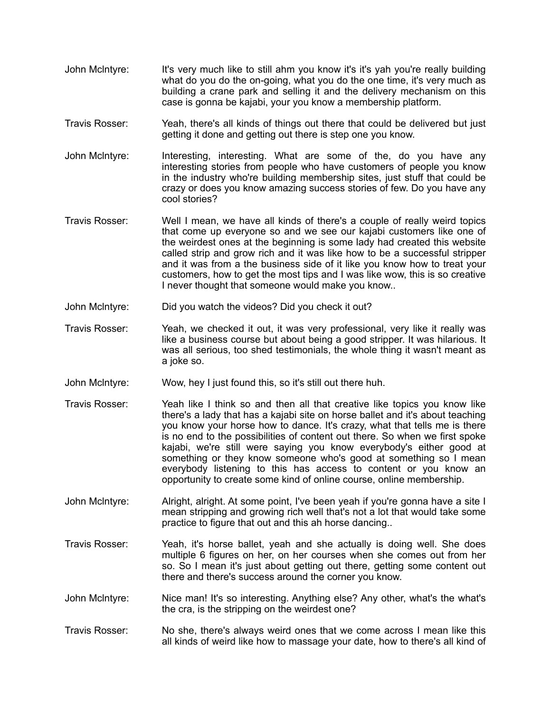- John Mclntyre: It's very much like to still ahm you know it's it's yah you're really building what do you do the on-going, what you do the one time, it's very much as building a crane park and selling it and the delivery mechanism on this case is gonna be kajabi, your you know a membership platform.
- Travis Rosser: Yeah, there's all kinds of things out there that could be delivered but just getting it done and getting out there is step one you know.
- John Mclntyre: Interesting, interesting. What are some of the, do you have any interesting stories from people who have customers of people you know in the industry who're building membership sites, just stuff that could be crazy or does you know amazing success stories of few. Do you have any cool stories?
- Travis Rosser: Well I mean, we have all kinds of there's a couple of really weird topics that come up everyone so and we see our kajabi customers like one of the weirdest ones at the beginning is some lady had created this website called strip and grow rich and it was like how to be a successful stripper and it was from a the business side of it like you know how to treat your customers, how to get the most tips and I was like wow, this is so creative I never thought that someone would make you know..
- John Mclntyre: Did you watch the videos? Did you check it out?
- Travis Rosser: Yeah, we checked it out, it was very professional, very like it really was like a business course but about being a good stripper. It was hilarious. It was all serious, too shed testimonials, the whole thing it wasn't meant as a joke so.
- John Mclntyre: Wow, hey I just found this, so it's still out there huh.
- Travis Rosser: Yeah like I think so and then all that creative like topics you know like there's a lady that has a kajabi site on horse ballet and it's about teaching you know your horse how to dance. It's crazy, what that tells me is there is no end to the possibilities of content out there. So when we first spoke kajabi, we're still were saying you know everybody's either good at something or they know someone who's good at something so I mean everybody listening to this has access to content or you know an opportunity to create some kind of online course, online membership.
- John Mclntyre: Alright, alright. At some point, I've been yeah if you're gonna have a site I mean stripping and growing rich well that's not a lot that would take some practice to figure that out and this ah horse dancing..
- Travis Rosser: Yeah, it's horse ballet, yeah and she actually is doing well. She does multiple 6 figures on her, on her courses when she comes out from her so. So I mean it's just about getting out there, getting some content out there and there's success around the corner you know.
- John Mclntyre: Nice man! It's so interesting. Anything else? Any other, what's the what's the cra, is the stripping on the weirdest one?
- Travis Rosser: No she, there's always weird ones that we come across I mean like this all kinds of weird like how to massage your date, how to there's all kind of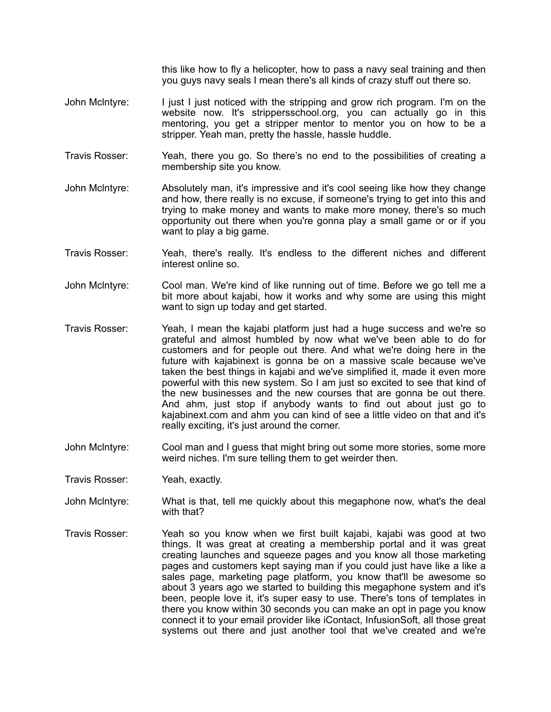this like how to fly a helicopter, how to pass a navy seal training and then you guys navy seals I mean there's all kinds of crazy stuff out there so.

- John Mclntyre: I just I just noticed with the stripping and grow rich program. I'm on the website now. It's strippersschool.org, you can actually go in this mentoring, you get a stripper mentor to mentor you on how to be a stripper. Yeah man, pretty the hassle, hassle huddle.
- Travis Rosser: Yeah, there you go. So there's no end to the possibilities of creating a membership site you know.
- John Mclntyre: Absolutely man, it's impressive and it's cool seeing like how they change and how, there really is no excuse, if someone's trying to get into this and trying to make money and wants to make more money, there's so much opportunity out there when you're gonna play a small game or or if you want to play a big game.
- Travis Rosser: Yeah, there's really. It's endless to the different niches and different interest online so.
- John Mclntyre: Cool man. We're kind of like running out of time. Before we go tell me a bit more about kajabi, how it works and why some are using this might want to sign up today and get started.
- Travis Rosser: Yeah, I mean the kajabi platform just had a huge success and we're so grateful and almost humbled by now what we've been able to do for customers and for people out there. And what we're doing here in the future with kajabinext is gonna be on a massive scale because we've taken the best things in kajabi and we've simplified it, made it even more powerful with this new system. So I am just so excited to see that kind of the new businesses and the new courses that are gonna be out there. And ahm, just stop if anybody wants to find out about just go to kajabinext.com and ahm you can kind of see a little video on that and it's really exciting, it's just around the corner.
- John Mclntyre: Cool man and I guess that might bring out some more stories, some more weird niches. I'm sure telling them to get weirder then.
- Travis Rosser: Yeah, exactly.
- John Mclntyre: What is that, tell me quickly about this megaphone now, what's the deal with that?
- Travis Rosser: Yeah so you know when we first built kajabi, kajabi was good at two things. It was great at creating a membership portal and it was great creating launches and squeeze pages and you know all those marketing pages and customers kept saying man if you could just have like a like a sales page, marketing page platform, you know that'll be awesome so about 3 years ago we started to building this megaphone system and it's been, people love it, it's super easy to use. There's tons of templates in there you know within 30 seconds you can make an opt in page you know connect it to your email provider like iContact, InfusionSoft, all those great systems out there and just another tool that we've created and we're